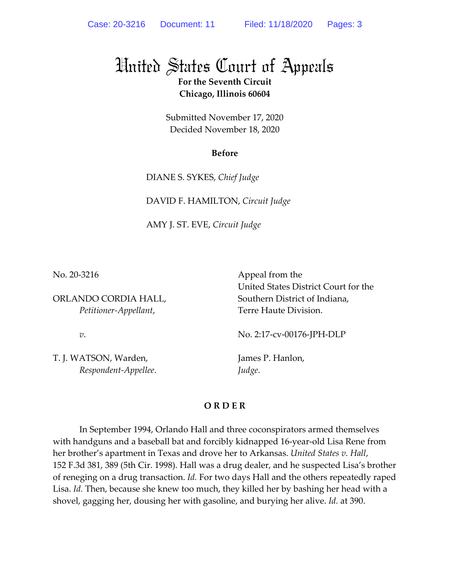## United States Court of Appeals

**For the Seventh Circuit Chicago, Illinois 60604** 

Submitted November 17, 2020 Decided November 18, 2020

## **Before**

DIANE S. SYKES, *Chief Judge* 

DAVID F. HAMILTON, *Circuit Judge* 

AMY J. ST. EVE, *Circuit Judge*

No. 20-3216

ORLANDO CORDIA HALL, *Petitioner-Appellant*,

 Appeal from the United States District Court for the Southern District of Indiana, Terre Haute Division.

*v*.

T. J. WATSON, Warden,  *Respondent-Appellee*. No. 2:17-cv-00176-JPH-DLP

James P. Hanlon, *Judge*.

## **O R D E R**

In September 1994, Orlando Hall and three coconspirators armed themselves with handguns and a baseball bat and forcibly kidnapped 16-year-old Lisa Rene from her brother's apartment in Texas and drove her to Arkansas. *United States v. Hall*, 152 F.3d 381, 389 (5th Cir. 1998). Hall was a drug dealer, and he suspected Lisa's brother of reneging on a drug transaction. *Id.* For two days Hall and the others repeatedly raped Lisa. *Id.* Then, because she knew too much, they killed her by bashing her head with a shovel, gagging her, dousing her with gasoline, and burying her alive. *Id.* at 390.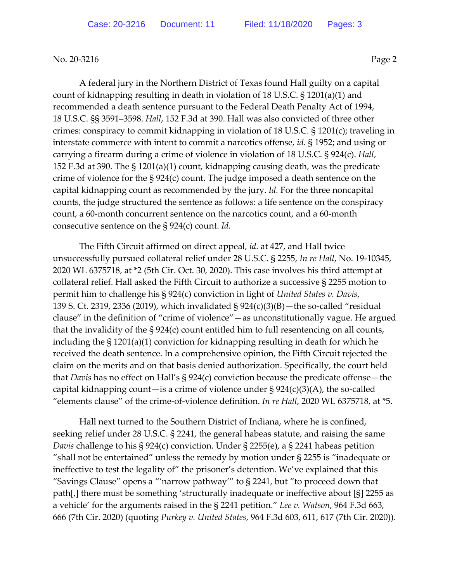No. 20-3216 **Page 2** 

A federal jury in the Northern District of Texas found Hall guilty on a capital count of kidnapping resulting in death in violation of 18 U.S.C. § 1201(a)(1) and recommended a death sentence pursuant to the Federal Death Penalty Act of 1994, 18 U.S.C. §§ 3591–3598. *Hall*, 152 F.3d at 390. Hall was also convicted of three other crimes: conspiracy to commit kidnapping in violation of 18 U.S.C. § 1201(c); traveling in interstate commerce with intent to commit a narcotics offense, *id.* § 1952; and using or carrying a firearm during a crime of violence in violation of 18 U.S.C. § 924(c). *Hall*, 152 F.3d at 390. The § 1201(a)(1) count, kidnapping causing death, was the predicate crime of violence for the § 924(c) count. The judge imposed a death sentence on the capital kidnapping count as recommended by the jury. *Id.* For the three noncapital counts, the judge structured the sentence as follows: a life sentence on the conspiracy count, a 60-month concurrent sentence on the narcotics count, and a 60-month consecutive sentence on the § 924(c) count. *Id.*

The Fifth Circuit affirmed on direct appeal, *id.* at 427, and Hall twice unsuccessfully pursued collateral relief under 28 U.S.C. § 2255, *In re Hall*, No. 19-10345, 2020 WL 6375718, at \*2 (5th Cir. Oct. 30, 2020). This case involves his third attempt at collateral relief. Hall asked the Fifth Circuit to authorize a successive § 2255 motion to permit him to challenge his § 924(c) conviction in light of *United States v. Davis*, 139 S. Ct. 2319, 2336 (2019), which invalidated § 924(c)(3)(B)—the so-called "residual clause" in the definition of "crime of violence"—as unconstitutionally vague. He argued that the invalidity of the § 924(c) count entitled him to full resentencing on all counts, including the § 1201(a)(1) conviction for kidnapping resulting in death for which he received the death sentence. In a comprehensive opinion, the Fifth Circuit rejected the claim on the merits and on that basis denied authorization. Specifically, the court held that *Davis* has no effect on Hall's § 924(c) conviction because the predicate offense—the capital kidnapping count—is a crime of violence under  $\S 924(c)(3)(A)$ , the so-called "elements clause" of the crime-of-violence definition. *In re Hall*, 2020 WL 6375718, at \*5.

Hall next turned to the Southern District of Indiana, where he is confined, seeking relief under 28 U.S.C. § 2241, the general habeas statute, and raising the same *Davis* challenge to his § 924(c) conviction. Under § 2255(e), a § 2241 habeas petition "shall not be entertained" unless the remedy by motion under § 2255 is "inadequate or ineffective to test the legality of" the prisoner's detention. We've explained that this "Savings Clause" opens a "'narrow pathway'" to § 2241, but "to proceed down that path[,] there must be something 'structurally inadequate or ineffective about [§] 2255 as a vehicle' for the arguments raised in the § 2241 petition." *Lee v. Watson*, 964 F.3d 663, 666 (7th Cir. 2020) (quoting *Purkey v. United States*, 964 F.3d 603, 611, 617 (7th Cir. 2020)).